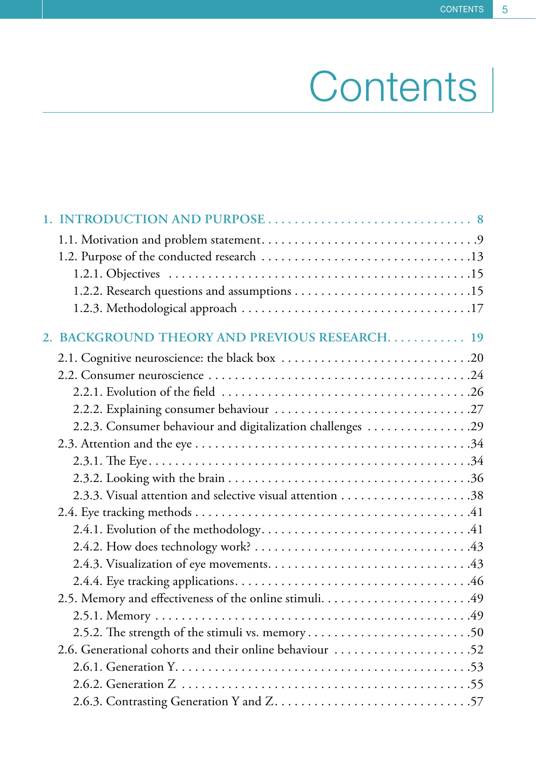## Contents |

| 2. BACKGROUND THEORY AND PREVIOUS RESEARCH 19              |
|------------------------------------------------------------|
|                                                            |
|                                                            |
|                                                            |
|                                                            |
| 2.2.3. Consumer behaviour and digitalization challenges 29 |
|                                                            |
|                                                            |
|                                                            |
|                                                            |
|                                                            |
|                                                            |
|                                                            |
|                                                            |
|                                                            |
| 2.5. Memory and effectiveness of the online stimuli49      |
|                                                            |
|                                                            |
| 2.6. Generational cohorts and their online behaviour 52    |
|                                                            |
|                                                            |
|                                                            |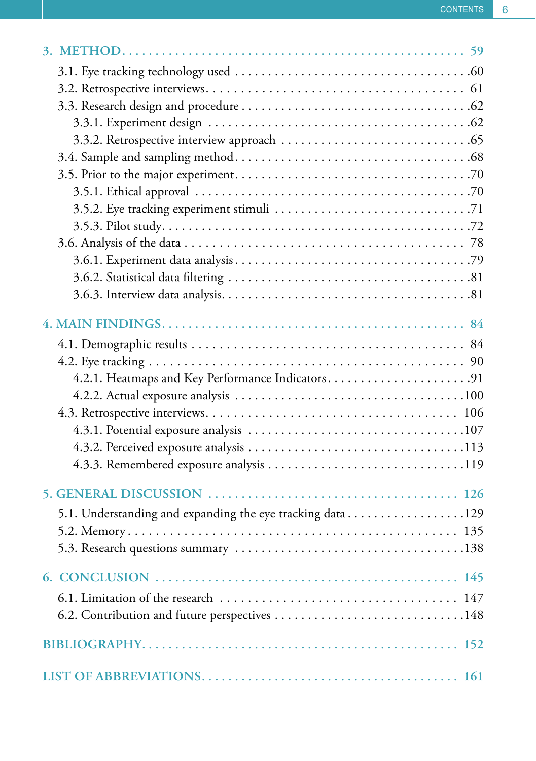| 4.2.1. Heatmaps and Key Performance Indicators91          |
|-----------------------------------------------------------|
|                                                           |
|                                                           |
|                                                           |
|                                                           |
|                                                           |
|                                                           |
| 5.1. Understanding and expanding the eye tracking data129 |
|                                                           |
|                                                           |
|                                                           |
|                                                           |
|                                                           |
|                                                           |
|                                                           |
|                                                           |
|                                                           |